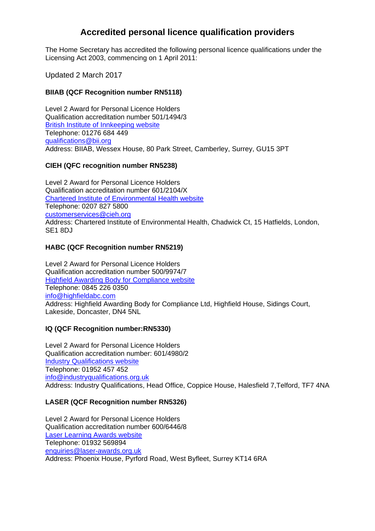# **Accredited personal licence qualification providers**

The Home Secretary has accredited the following personal licence qualifications under the Licensing Act 2003, commencing on 1 April 2011:

Updated 2 March 2017

### **BIIAB (QCF Recognition number RN5118)**

Level 2 Award for Personal Licence Holders Qualification accreditation number 501/1494/3 British Institute of Innkeeping website Telephone: 01276 684 449 [qualifications@bii.org](mailto:qualifications@bii.org)  Address: BIIAB, Wessex House, 80 Park Street, Camberley, Surrey, GU15 3PT

#### **CIEH (QFC recognition number RN5238)**

customerservices@cieh.org Level 2 Award for Personal Licence Holders Qualification accreditation number 601/2104/X Chartered Institute of Environmental Health website Telephone: 0207 827 5800 Address: Chartered Institute of Environmental Health, Chadwick Ct, 15 Hatfields, London, SE1 8DJ

#### **HABC (QCF Recognition number RN5219)**

info@highfieldabc.com Level 2 Award for Personal Licence Holders Qualification accreditation number 500/9974/7 Highfield Awarding Body for Compliance website Telephone: 0845 226 0350 Address: Highfield Awarding Body for Compliance Ltd, Highfield House, Sidings Court, Lakeside, Doncaster, DN4 5NL

### **IQ (QCF Recognition number:RN5330)**

Level 2 Award for Personal Licence Holders Qualification accreditation number: 601/4980/2 Industry Qualifications website Telephone: 01952 457 452 info@industryqualifications.org.uk Address: Industry Qualifications, Head Office, Coppice House, Halesfield 7,Telford, TF7 4NA

#### **LASER (QCF Recognition number RN5326)**

Level 2 Award for Personal Licence Holders Qualification accreditation number 600/6446/8 Laser Learning Awards website Telephone: 01932 569894 enquiries@laser-awards.org.uk Address: Phoenix House, Pyrford Road, West Byfleet, Surrey KT14 6RA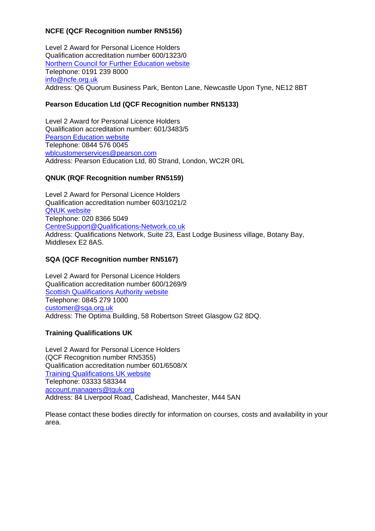### **NCFE (QCF Recognition number RN5156)**

Level 2 Award for Personal Licence Holders Qualification accreditation number 600/1323/0 Northern Council for Further Education website Telephone: 0191 239 8000 info@ncfe.org.uk Address: Q6 Quorum Business Park, Benton Lane, Newcastle Upon Tyne, NE12 8BT

### **Pearson Education Ltd (QCF Recognition number RN5133)**

Level 2 Award for Personal Licence Holders Qualification accreditation number: 601/3483/5 Pearson Education website Telephone: 0844 576 0045 [wblcustomerservices@pearson.com](mailto:wblcustomerservices@pearson.com)  Address: Pearson Education Ltd, 80 Strand, London, WC2R 0RL

#### **QNUK (RQF Recognition number RN5159)**

CentreSupport@Qualifications-Network.co.uk Level 2 Award for Personal Licence Holders Qualification accreditation number 603/1021/2 QNUK website Telephone: 020 8366 5049 Address: Qualifications Network, Suite 23, East Lodge Business village, Botany Bay, Middlesex E2 8AS.

### **SQA (QCF Recognition number RN5167)**

customer@sqa.org.uk Level 2 Award for Personal Licence Holders Qualification accreditation number 600/1269/9 Scottish Qualifications Authority website Telephone: 0845 279 1000 Address: The Optima Building, 58 Robertson Street Glasgow G2 8DQ.

### **Training Qualifications UK**

Level 2 Award for Personal Licence Holders (QCF Recognition number RN5355) Qualification accreditation number 601/6508/X Training Qualifications UK website Telephone: 03333 583344 [account.managers@tquk.org](mailto:account.managers@tquk.org) Address: 84 Liverpool Road, Cadishead, Manchester, M44 5AN

Please contact these bodies directly for information on courses, costs and availability in your area.